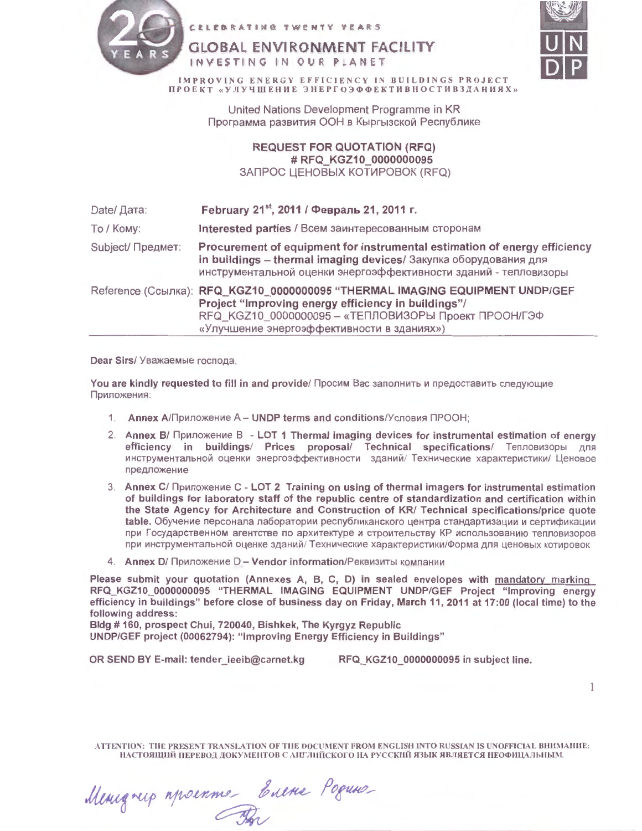| EARS                                                                                                                                                                                                                                      | CELEBRATING TWENTY YEARS<br><b>GLOBAL ENVIRONMENT FACILITY</b><br>INVESTING IN OUR PLANET<br><b>IMPROVING ENERGY EFFICIENCY IN BUILDINGS PROJECT</b><br>ПРОЕКТ «УЛУЧШЕНИЕ ЭНЕРГОЭФФЕКТИВНОСТИВЗДАНИЯХ»<br>United Nations Development Programme in KR<br>Программа развития ООН в Кыргызской Республике |  |
|-------------------------------------------------------------------------------------------------------------------------------------------------------------------------------------------------------------------------------------------|--------------------------------------------------------------------------------------------------------------------------------------------------------------------------------------------------------------------------------------------------------------------------------------------------------|--|
|                                                                                                                                                                                                                                           | <b>REQUEST FOR QUOTATION (RFQ)</b><br># RFQ KGZ10 0000000095<br>ЗАПРОС ЦЕНОВЫХ КОТИРОВОК (RFQ)                                                                                                                                                                                                         |  |
| Date/ Дата:                                                                                                                                                                                                                               | February 21 <sup>st</sup> , 2011 / Февраль 21, 2011 г.                                                                                                                                                                                                                                                 |  |
| To / Komy:                                                                                                                                                                                                                                | Interested parties / Всем заинтересованным сторонам                                                                                                                                                                                                                                                    |  |
| Subject/ Предмет:                                                                                                                                                                                                                         | Procurement of equipment for instrumental estimation of energy efficiency<br>in buildings - thermal imaging devices/ Закупка оборудования для<br>инструментальной оценки энергоэффективности зданий - тепловизоры                                                                                      |  |
| Reference (Ссылка): RFQ_KGZ10_0000000095 "THERMAL IMAGING EQUIPMENT UNDP/GEF<br>Project "Improving energy efficiency in buildings"/<br>RFQ_KGZ10_0000000095 - «ТЕПЛОВИЗОРЫ Проект ПРООН/ГЭФ<br>«Улучшение энергоэффективности в зданиях») |                                                                                                                                                                                                                                                                                                        |  |

Dear Sirs/ Уважаемые господа,

You are kindly requested to fill in and provide/ Просим Вас заполнить и предоставить следующие Приложения:

- 1. Annex А/Приложение A UNDP terms and conditions/Условия ПРООН;
- 2. Annex B/ Приложение B LOT 1 Thermal imaging devices for instrumental estimation of energy efficiency in buildings/ Prices proposal/ Technical specifications/ Тепловизоры для инструментальной оценки энергоэффективности зданий/ Технические характеристики/ Ценовое предложение
- 3. Annex C/ Приложение С LOT 2 Training on using of thermal imagers for instrumental estimation of buildings for laboratory staff of the republic centre of standardization and certification within the State Agency for Architecture and Construction of KR/ Technical specifications/price quote table. Обучение персонала лаборатории республиканского центра стандартизации и сертификации при Государственном агентстве по архитектуре и строительству KP использованию тепловизоров при инструментальной оценке зданий/ Технические характеристики/Форма для ценовых котировок
- 4. Annex D/ Приложение D Vendor information/Реквизиты компании

Please submit your quotation (Annexes A, B, C, D) in sealed envelopes with mandatory marking RFQ\_KGZ10\_0000000095 "THERMAL IMAGING EQUIPMENT UNDP/GEF Project "Improving energy efficiency in buildings" before close of business day on Friday, March 11, 2011 at 17:00 (local time) to the following address:

Bldg # 160, prospect Chui, 720040, Bishkek, The Kyrgyz Republic

UNDP/GEF project (00062794): "Improving Energy Efficiency in Buildings"

OR SEND BY E-mail: tender\_ieeib@carnet.kg RFQ\_KGZ10\_0000000095 in subject line.

1

ATTENTION: THE PRESENT TRANSLATION OF THE DOCUMENT FROM ENGLISH INTO RUSSIAN IS UNOFFICIAL BHUMAHHE: НАСТОЯЩИЙ ПЕРЕВОД ДОКУМЕНТОВ С АНГЛИЙСКОГО НА РУССКИЙ ЯЗЫК ЯВЛЯЕТСЯ НЕОФИЦАЛЬНЫМ.

Menignes novemme Evene Poques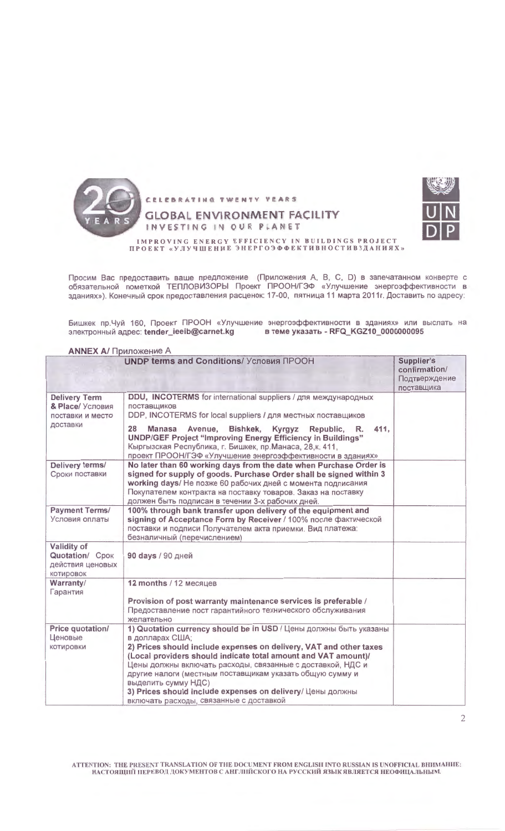

Просим Вас предоставить ваше предложение (Приложения А, В, С, D) в запечатанном конверте с<br>обязательной пометкой ТЕПЛОВИЗОРЫ Проект ПРООН/ГЭФ «Улучшение энергоэффективности в<br>зданиях») Конечныйсрокпредоставления расценок:

Бишкек пр.Чуй 160, Проект ПРООН «Улучшение энергоэффективности в зданиях» или выслать на<br>электронный адрес: tender\_ieeib@carnet.kg в теме указать - RFQ\_KGZ10\_0000000095

| <b>ANNEX A/ Приложение A</b> |
|------------------------------|
|------------------------------|

|                                                                                     | <b>UNDP terms and Conditions/ Условия ПРООН</b>                                                                                                                                                                                                                                                                                                                                                                                                                                        | Supplier's<br>confirmation/<br>Подтверждение<br>поставщика |
|-------------------------------------------------------------------------------------|----------------------------------------------------------------------------------------------------------------------------------------------------------------------------------------------------------------------------------------------------------------------------------------------------------------------------------------------------------------------------------------------------------------------------------------------------------------------------------------|------------------------------------------------------------|
| <b>Delivery Term</b><br><b>&amp; Place/ Условия</b><br>поставки и место<br>доставки | DDU, INCOTERMS for international suppliers / для международных<br>поставшиков<br>DDP, INCOTERMS for local suppliers / для местных поставщиков<br>411.<br>Avenue, Bishkek,<br>Kyrgyz<br>Republic, R.<br>28<br><b>Manasa</b><br><b>UNDP/GEF Project "Improving Energy Efficiency in Buildings"</b><br>Кыргызская Республика, г. Бишкек, пр. Манаса, 28, к. 411,<br>проект ПРООН/ГЭФ «Улучшение энергоэффективности в зданиях»                                                            |                                                            |
| Delivery terms/<br>Сроки поставки                                                   | No later than 60 working days from the date when Purchase Order is<br>signed for supply of goods. Purchase Order shall be signed within 3<br>working days/ Не позже 60 рабочих дней с момента подписания<br>Покупателем контракта на поставку товаров. Заказ на поставку<br>должен быть подписан в течении 3-х рабочих дней.                                                                                                                                                           |                                                            |
| <b>Payment Terms/</b><br>Условия оплаты                                             | 100% through bank transfer upon delivery of the equipment and<br>signing of Acceptance Form by Receiver / 100% после фактической<br>поставки и подписи Получателем акта приемки. Вид платежа:<br>безналичный (перечислением)                                                                                                                                                                                                                                                           |                                                            |
| Validity of<br>Quotation/ Cpok<br>действия ценовых<br>котировок                     | 90 days / 90 дней                                                                                                                                                                                                                                                                                                                                                                                                                                                                      |                                                            |
| Warranty/<br>Гарантия                                                               | 12 months / 12 месяцев<br>Provision of post warranty maintenance services is preferable /<br>Предоставление пост гарантийного технического обслуживания<br>желательно                                                                                                                                                                                                                                                                                                                  |                                                            |
| Price quotation/<br>Ценовые<br>котировки                                            | 1) Quotation currency should be in USD / Цены должны быть указаны<br>в долларах США;<br>2) Prices should include expenses on delivery, VAT and other taxes<br>(Local providers should indicate total amount and VAT amount)/<br>Цены должны включать расходы, связанные с доставкой, НДС и<br>другие налоги (местным поставщикам указать общую сумму и<br>выделить сумму НДС)<br>3) Prices should include expenses on delivery/ Цены должны<br>включать расходы, связанные с доставкой |                                                            |

ATTENTION: THE PRESENT TRANSLATION OF THE DOCUMENT FROM ENGLISII INTO RUSSIAN IS UNOFFICIAL BHUMAHIJE: НАСТОЯЩИЙ ПЕРЕВОД ДОКУМЕНТОВ С АНГЛИЙСКОГО НА РУССКИЙ ЯЗЫК ЯВЛЯЕТСЯ НЕОФИЦАЛЬНЫМ.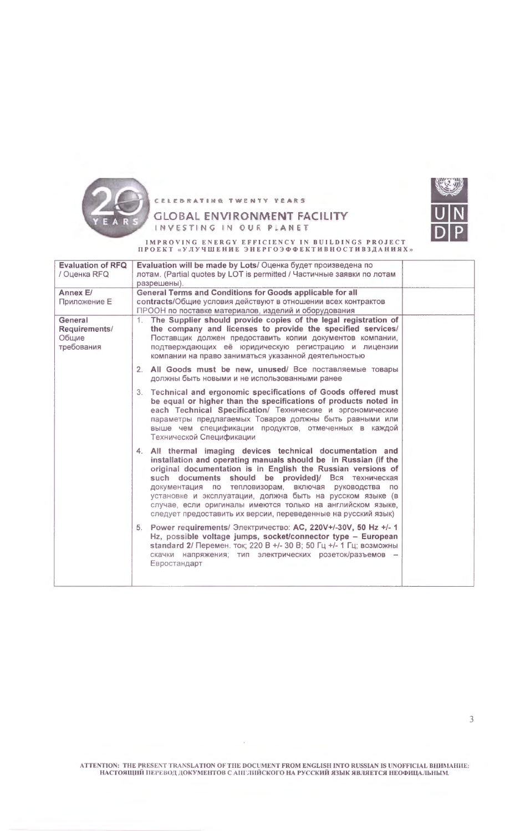

## CELEBRATING TWENTY YEARS

### **GLOBAL ENVIRONMENT FACILITY** INVESTING IN OUR PLANET



# IMPROVING ENERGY EFFICIENCY IN BUILDINGS PROJECT<br>
IIPOEKT «УЛУЧШЕНИЕ ЭНЕРГОЭФФЕКТИВНОСТИВЗДАНИЯХ»

| <b>Evaluation of RFQ</b><br>/ Оценка RFQ        | Evaluation will be made by Lots/ Оценка будет произведена по<br>лотам. (Partial quotes by LOT is permitted / Частичные заявки по лотам<br>разрешены).                                                                                                                                                                                                                                                                                                                                                    |  |
|-------------------------------------------------|----------------------------------------------------------------------------------------------------------------------------------------------------------------------------------------------------------------------------------------------------------------------------------------------------------------------------------------------------------------------------------------------------------------------------------------------------------------------------------------------------------|--|
| Annex E/<br>Приложение Е                        | <b>General Terms and Conditions for Goods applicable for all</b><br>contracts/Общие условия действуют в отношении всех контрактов<br>ПРООН по поставке материалов, изделий и оборудования                                                                                                                                                                                                                                                                                                                |  |
| General<br>Requirements/<br>Общие<br>требования | 1. The Supplier should provide copies of the legal registration of<br>the company and licenses to provide the specified services/<br>Поставщик должен предоставить копии документов компании,<br>подтверждающих её юридическую регистрацию и лицензии<br>компании на право заниматься указанной деятельностью                                                                                                                                                                                            |  |
|                                                 | 2. All Goods must be new, unused/ Все поставляемые товары<br>должны быть новыми и не использованными ранее                                                                                                                                                                                                                                                                                                                                                                                               |  |
|                                                 | 3. Technical and ergonomic specifications of Goods offered must<br>be equal or higher than the specifications of products noted in<br>each Technical Specification/ Технические и эргономические<br>параметры предлагаемых Товаров должны быть равными или<br>выше чем спецификации продуктов, отмеченных в каждой<br>Технической Спецификации                                                                                                                                                           |  |
|                                                 | 4. All thermal imaging devices technical documentation and<br>installation and operating manuals should be in Russian (if the<br>original documentation is in English the Russian versions of<br>such documents should be provided)/ Вся техническая<br>документация по тепловизорам, включая руководства по<br>установке и эксплуатации, должна быть на русском языке (в<br>случае, если оригиналы имеются только на английском языке,<br>следует предоставить их версии, переведенные на русский язык) |  |
|                                                 | 5. Power requirements/ Электричество: АС, 220V+/-30V, 50 Hz +/- 1<br>Hz, possible voltage jumps, socket/connector type - European<br>standard 2/ Перемен. ток; 220 В +/- 30 В; 50 Гц +/- 1 Гц; возможны<br>скачки напряжения; тип электрических розеток/разъемов -<br>Евростандарт                                                                                                                                                                                                                       |  |
|                                                 |                                                                                                                                                                                                                                                                                                                                                                                                                                                                                                          |  |

ATTENTION: THE PRESENT TRANSLATION OF THE DOCUMENT FROM ENGLISH INTO RUSSIAN IS UNOFFICIAL ВНИМАНИЕ: НАСТОЯЩИЙ ПЕРЕВОД ДОКУМЕНТОВ С АПГЛИЙСКОГО НА РУССКИЙ ЯЗЫК ЯВЛЯЕТСЯ НЕОФИЦАЛЬНЫМ.

 $\sim$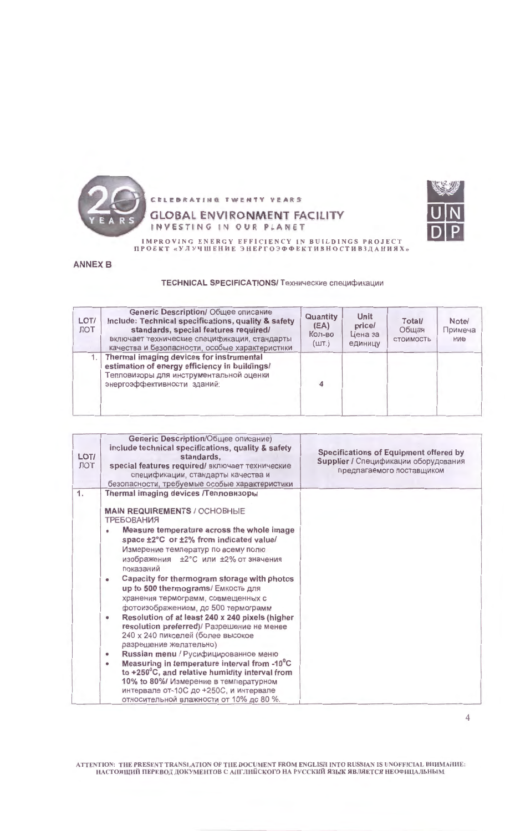



IMPROVING ENERGY EFFICIENCY IN BUILDINGS PROJECT ПРОЕКТ «УЛУЧШЕНИЕ ЭНЕРГОЭФФЕКТИВНОСТИВЗДАНИЯХ»

**ANNEX B** 

**TECHNICAL SPECIFICATIONS/ Технические спецификации** 

| LOT/<br>ЛОТ | Generic Description/ Общее описание<br>Include: Technical specifications, quality & safety<br>standards, special features required/<br>включает технические спецификации, стандарты<br>качества и безопасности, особые характеристики | Quantity<br>(EA)<br>Кол-во<br>(III.) | Unit<br>price/<br>Цена за<br>единицу | Total/<br>Общая<br>СТОИМОСТЬ | Note/<br>Примеча<br>ние |
|-------------|---------------------------------------------------------------------------------------------------------------------------------------------------------------------------------------------------------------------------------------|--------------------------------------|--------------------------------------|------------------------------|-------------------------|
|             | Thermal imaging devices for instrumental<br>estimation of energy efficiency in buildings/<br>Тепловизоры для инструментальной оценки<br>энергоэффективности зданий:                                                                   |                                      |                                      |                              |                         |

| LOT/<br>ЛОТ | Generic Description/Общее описание)<br>include technical specifications, quality & safety<br>standards.<br>special features required/ включает технические<br>спецификации, стандарты качества и<br>безопасности, требуемые особые характеристики                                                                                                                                                                                                                                                                                                                                                                                                                                                                                                                                                                                                                                                                                                                | Specifications of Equipment offered by<br>Supplier / Спецификации оборудования<br>предлагаемого поставшиком |
|-------------|------------------------------------------------------------------------------------------------------------------------------------------------------------------------------------------------------------------------------------------------------------------------------------------------------------------------------------------------------------------------------------------------------------------------------------------------------------------------------------------------------------------------------------------------------------------------------------------------------------------------------------------------------------------------------------------------------------------------------------------------------------------------------------------------------------------------------------------------------------------------------------------------------------------------------------------------------------------|-------------------------------------------------------------------------------------------------------------|
| 1.          | Thermal imaging devices /Тепловизоры<br><b>MAIN REQUIREMENTS / OCHOBHLIE</b><br><b>ТРЕБОВАНИЯ</b><br>Measure temperature across the whole image<br>space ±2°C or ±2% from indicated value/<br>Измерение температур по всему полю<br>изображения ±2°С или ±2% от значения<br>показаний<br>Capacity for thermogram storage with photos<br>۰<br>up to 500 thermograms/ Емкость для<br>хранения термограмм, совмещенных с<br>фотоизображением, до 500 термограмм<br>Resolution of at least 240 x 240 pixels (higher<br>٠<br>resolution preferred)/ Разрешение не менее<br>240 х 240 пикселей (более высокое<br>разрешение желательно)<br>Russian menu / Русифицированное меню<br>$\qquad \qquad \bullet$<br>Measuring in temperature interval from -10 <sup>o</sup> C<br>٠<br>to $+250^{\circ}$ C, and relative humidity interval from<br>10% to 80%/ Измерение в температурном<br>интервале от-10С до +250С, и интервале<br>относительной влажности от 10% до 80 %. |                                                                                                             |

ATTENTION: THE PRESENT TRANSLATION OF THE DOCUMENT FROM ENGLISH INTO RUSSIAN IS UNOFFICIAL ВНИМАНИЕ: НАСТОЯЩИЙ ПЕРЕВОД ДОКУМЕНТОВ С АПГЛИЙСКОГО НА РУССКИЙ ЯЗЫК ЯВЛЯЕТСЯ НЕОФИЦАЛЬНЫМ.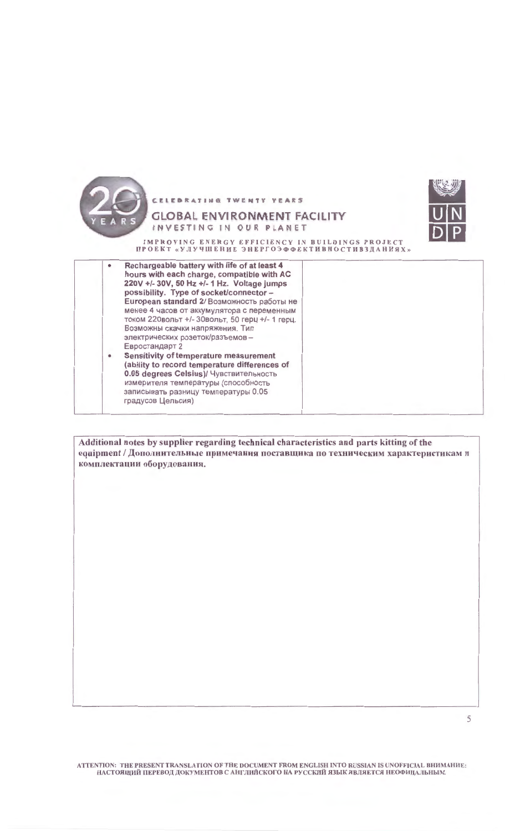

Additional notes by supplier regarding technical characteristics and parts kitting of the equipment / Дополнительные примечания поставщика по техническим характеристикам и комплектации оборудования.

ATTENTION: THE PRESENT TRANSLATION OF THE DOCUMENT FROM ENGLISH INTO RUSSIAN IS UNOFFICIAL BHIMAHHE: НАСТОЯЩИЙ ПЕРЕВОД ДОКУМЕНТОВ С АНГЛИЙСКОГО НА РУССКИЙ ЯЗЫК ЯВЛЯЕТСЯ НЕОФИЦАЛЬНЫМ.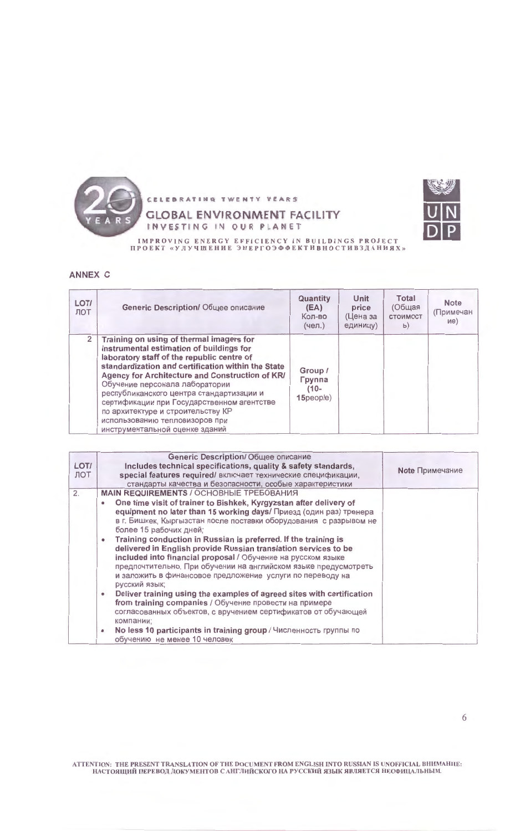

## CELEBRATING TWENTY VEARS **GLOBAL ENVIRONMENT FACILITY** INVESTING IN OUR PLANET



IMPROVING ENERGY EFFICIENCY IN BUILDINGS PROJECT<br>ПРОЕКТ «УЛУЧШЕНИЕ ЭНЕРГОЭФФЕКТИВНОСТИВЗДАНИЯХ»

## ANNEX C

| LOT/<br>ЛОТ    | Generic Description/ Общее описание                                                                                                                                                                                                                                                                                                                                                                                                                                              | Quantity<br>(EA)<br>Кол-во<br>(чел.)             | Unit<br>price<br>(Цена за<br>единицу) | <b>Total</b><br>(Общая<br><b>СТОИМОСТ</b><br>$\mathsf{b}$ | <b>Note</b><br>(Примечан<br>Me) |
|----------------|----------------------------------------------------------------------------------------------------------------------------------------------------------------------------------------------------------------------------------------------------------------------------------------------------------------------------------------------------------------------------------------------------------------------------------------------------------------------------------|--------------------------------------------------|---------------------------------------|-----------------------------------------------------------|---------------------------------|
| 2 <sup>1</sup> | Training on using of thermal imagers for<br>instrumental estimation of buildings for<br>laboratory staff of the republic centre of<br>standardization and certification within the State<br>Agency for Architecture and Construction of KR/<br>Обучение персонала лаборатории<br>республиканского центра стандартизации и<br>сертификации при Государственном агентстве<br>по архитектуре и строительству КР<br>использованию тепловизоров при<br>инструментальной оценке зданий | Group /<br><b>Группа</b><br>$(10 -$<br>15people) |                                       |                                                           |                                 |

| LOT/ | Generic Description/ Общее описание<br>Includes technical specifications, quality & safety standards,                                                                                                                                                                                                                                                    |                        |
|------|----------------------------------------------------------------------------------------------------------------------------------------------------------------------------------------------------------------------------------------------------------------------------------------------------------------------------------------------------------|------------------------|
| ЛОТ  | special features required/ включает технические спецификации,                                                                                                                                                                                                                                                                                            | <b>Note</b> Примечание |
|      | стандарты качества и безопасности, особые характеристики                                                                                                                                                                                                                                                                                                 |                        |
| 2.   | <b>MAIN REQUIREMENTS / OCHOBHLIE TPE5OBAHI/IS</b>                                                                                                                                                                                                                                                                                                        |                        |
|      | One time visit of trainer to Bishkek, Kyrgyzstan after delivery of<br>$\bullet$<br>equipment no later than 15 working days/ Приезд (один раз) тренера<br>в г. Бишкек, Кыргызстан после поставки оборудования с разрывом не<br>более 15 рабочих дней;                                                                                                     |                        |
|      | Training conduction in Russian is preferred. If the training is<br>۰<br>delivered in English provide Russian translation services to be<br>included into financial proposal / Обучение на русском языке<br>предпочтительно. При обучении на английском языке предусмотреть<br>и заложить в финансовое предложение услуги по переводу на<br>русский язык; |                        |
|      | Deliver training using the examples of agreed sites with certification<br>۰<br>from training companies / Обучение провести на примере<br>согласованных объектов, с вручением сертификатов от обучающей<br>компании;                                                                                                                                      |                        |
|      | No less 10 participants in training group / Численность группы по<br>$\bullet$<br>обучению не менее 10 человек                                                                                                                                                                                                                                           |                        |

ATTENTION: THE PRESENT TRANSLATION OF THE DOCUMENT FROM ENGLISH INTO RUSSIAN IS UNOFFICIAL BHIMAHIIE: НАСТОЯЩИЙ ПЕРЕВОД ДОКУМЕНТОВ С АНГЛИЙСКОГО НА РУССКИЙ ЯЗЫК ЯВЛЯЕТСЯ НЕОФИЦАЛЬНЫМ.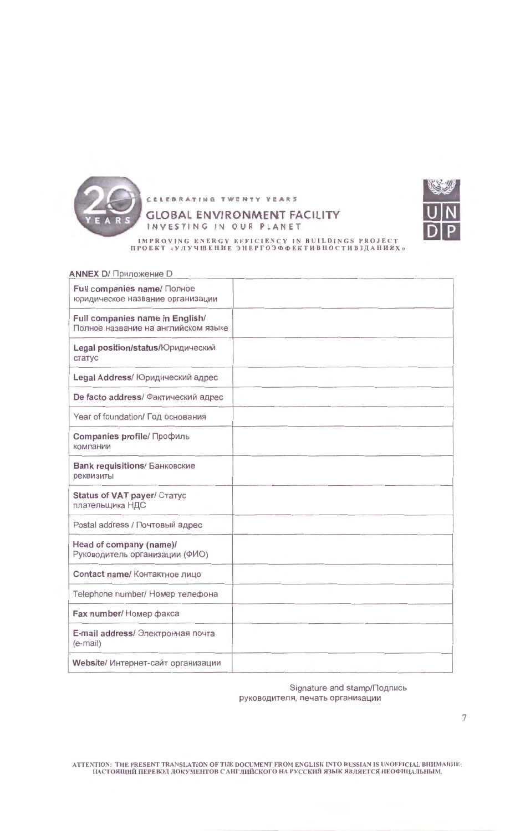

## **GLOBAL ENVIRONMENT FACILITY** INVESTING IN OUR PLANET

CELEBRATING TWENTY VEARS



IMPROVING ENERGY EFFICIENCY IN BUILDINGS PROJECT<br>
ПРОЕКТ «УЛУЧШЕНИЕ ЭНЕРГОЭФФЕКТИВНОСТИВЗДАНИЯХ»

| <b>ANNEX D/ Приложение D</b>                                           |  |
|------------------------------------------------------------------------|--|
| Full companies name/ Полное<br>юридическое название организации        |  |
| Full companies name in English/<br>Полное название на английском языке |  |
| Legal position/status/Юридический<br>статус                            |  |
| Legal Address/ Юридический адрес                                       |  |
| De facto address/ Фактический адрес                                    |  |
| Year of foundation/ Год основания                                      |  |
| Companies profile/ Профиль<br>компании                                 |  |
| <b>Bank requisitions/ Банковские</b><br>реквизиты                      |  |
| Status of VAT payer/ CTaTyc<br>плательщика НДС                         |  |
| Postal address / Почтовый адрес                                        |  |
| Head of company (name)/<br>Руководитель организации (ФИО)              |  |
| Contact name/ Контактное лицо                                          |  |
| Telephone number/ Номер телефона                                       |  |
| Fax number/ Номер факса                                                |  |
| E-mail address/ Электронная почта<br>(e-mail)                          |  |
| Website/ Интернет-сайт организации                                     |  |

Signature and stamp/Подпись руководителя, печать организации

ATTENTION: THE PRESENT TRANSLATION OF THE DOCUMENT FROM ENGLISH INTO RUSSIAN IS UNOFFICIAL BHIMAHIIE:<br>- ПАСТОЯЩИЙ ПЕРЕВОД ДОКУМЕНТОВ С АНГЛИЙСКОГО НА РУССКИЙ ЯЗЫК ЯВЛЯЕТСЯ НЕОФИЦАЛЬНЫМ.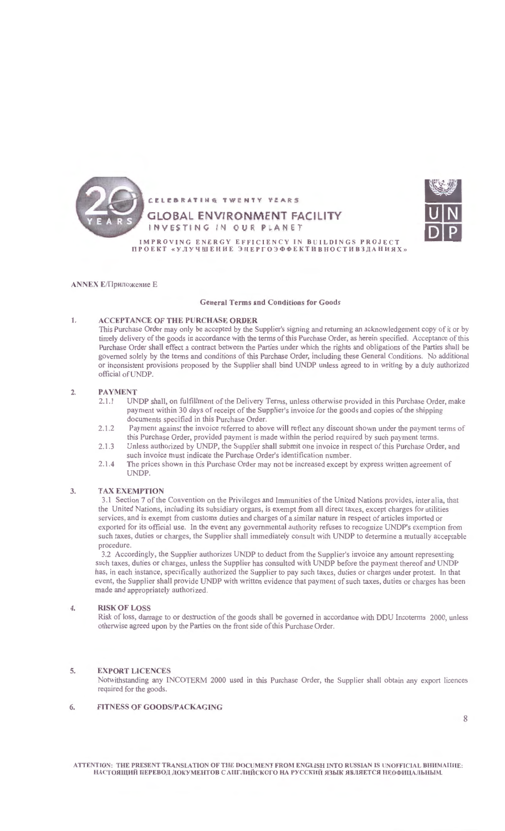

ANNEX Е/Приложение Е

### **General Terms and Conditions for Goods**

### 1. ACCEPTANCE OF THE PURCHASE ORDER

This Purchase Order may only be accepted by the Supplier's signing and returning an acknowledgement copy of it or by timely delivery of the goods in accordance with the terms of this Purchase Order, as herein specified. Acceptance of this Purchase Order shall effect a contract between the Parties under which the rights and obligations of the Parties shall be governed solely by the terms and conditions of this Purchase Order, including these General Conditions. No additional or inconsistent provisions proposed by the Supplier shall bind UNDP unless agreed to in writing by a duly authorized official ofUNDP.

#### 2. PAYMENT

- 2.1.1 UNDP shall, on fulfillment of the Delivery Terms, unless otherwise provided in this Purchase Order, make payment within 30 days of receipt of the Supplier's invoice for the goods and copies of the shipping documents specified in this Purchase Order.
- 2.1.2 Payment against the invoice referred to above will reflect any discount shown under the payment terms of this Purchase Order, provided payment is made within the period required by such payment terms.
- 2.1.3 Unless authorized by UNDP, the Supplier shall submit one invoice in respect of this Purchase Order, and such invoice must indicate the Purchase Order's identification number.
- 2.1.4 The prices shown in this Purchase Order may not be increased except by express written agreement of UNDP.

#### 3. TAX EXEMPTION

3.1 Section 7 of the Convention on the Privileges and Immunities of the United Nations provides, inter alia, that the United Nations, including its subsidiary organs, is exempt from all direct taxes, except charges for utilities services, and is exempt from customs duties and charges of a similar nature in respect of articles imported or exported for its official use. In the event any governmental authority refuses to recognize UNDP's exemption from such taxes, duties or charges, the Supplier shall immediately consult with UNDP to determine a mutually acceptable procedure.

3.2 Accordingly, the Supplier authorizes UNDP to deduct from the Supplier's invoice any amount representing such taxes, duties or charges, unless the Supplier has consulted with UNDP before the payment thereof and UNDP has, in each instance, specifically authorized the Supplier to pay such taxes, duties or charges under protest. In that event, the Supplier shall provide UNDP with written evidence that payment of such taxes, duties or charges has been made and appropriately authorized.

#### 4. RISK OF LOSS

Risk of loss, damage to or destruction of the goods shall be governed in accordance with DDU Incoterms 2000, unless otherwise agreed upon by the Parties on the front side of this Purchase Order.

#### 5. EXPORT LICENCES

Notwithstanding any INCOTERM 2000 used in this Purchase Order, the Supplier shall obtain any export licences required for the goods.

### 6. FITNESS OF GOODS/PACKAGING

8

ATTENTION: THE PRESENT TRANSLATION OF THE DOCUMENT FROM ENGLISH INTO RUSSIAN IS UNOFFICIAL BHUMAIIVE: НАСТОЯЩИЙ ПЕРЕВОД ДОКУМЕНТОВ С АПГЛИЙСКОГО НА РУССКИЙ ЯЗЫК ЯВЛЯЕТСЯ НЕОФИЦАЛЬНЫМ.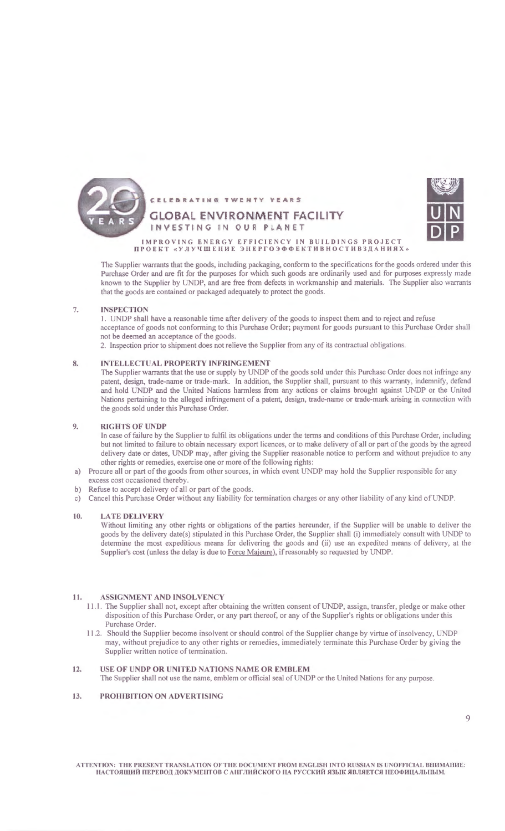

## CELEBRATING TWENTY YEARS GLOBAL ENVIRONMENT FACILITY

INVESTING IN OUR PLANET



IMPROVING ENERGY EFFICIENCY IN BUILDINGS PROJECT ПРОЕКТ «УЛУЧШЕНИЕ ЭНЕРГОЭФФЕКТИВНОСТИВЗДАНИЯХ»

The Supplier warrants that the goods, including packaging, conform to the specifications for the goods ordered under this Purchase Order and are fit for the purposes for which such goods are ordinarily used and for purposes expressly made known to the Supplier by UNDP, and are free from defects in workmanship and materials. The Supplier also warrants that the goods are contained or packaged adequately to protect the goods.

#### 7. INSPECTION

I. UNDP shall have a reasonable time after delivery of the goods to inspect them and to reject and refuse acceptance of goods not conforming to this Purchase Order; payment for goods pursuant to this Purchase Order shall not be deemed an acceptance of the goods.

2. Inspection prior to shipment does not relieve the Supplier from any of its contractual obligations.

### 8. INTELLECTUAL PROPERTY INFRINGEMENT

The Supplier warrants that the use or supply by UNDP of the goods sold under this Purchase Order does not infringe any patent, design, trade-name or trade-mark. In addition, the Supplier shall, pursuant to this warranty, indemnify, defend and hold UNDP and the United Nations harmless from any actions or claims brought against UNDP or the United Nations pertaining to the alleged infringement of a patent, design, trade-name or trade-mark arising in connection with the goods sold under this Purchase Order.

### 9. RIGHTS OF UNDP

In case of failure by the Supplier to fulfil its obligations under the terms and conditions of this Purchase Order, including but not limited to failure to obtain necessary export licences, or to make delivery of all or part of the goods by the agreed delivery date or dates, UNDP may, after giving the Supplier reasonable notice to perform and without prejudice to any other rights or remedies, exercise one or more of the following rights:

- a) Procure all or part of the goods from other sources, in which event UNDP may hold the Supplier responsible for any excess cost occasioned thereby.
- 
- b) Refuse to accept delivery of all or part of the goods.
- c) Cancel this Purchase Order without any liability for termination charges or any other liability of any kind of UNDP.

### 10. LATE DELIVERY

Without limiting any other rights or obligations of the parties hereunder, if the Supplier will be unable to deliver the goods by the delivery date(s) stipulated in this Purchase Order, the Supplier shall (i) immediately consult with UNDP to determine the most expeditious means for delivering the goods and (ii) use an expedited means of delivery, at the Supplier's cost (unless the delay is due to Force Majeure), if reasonably so requested by UNDP.

### 11. ASSIGNMENT AND INSOLVENCY

- 11.1 . The Supplier shall not, except after obtaining the written consent of UNDP, assign, transfer, pledge or make other disposition of this Purchase Order, or any part thereof, or any of the Supplier's rights or obligations under this Purchase Order.
- 11.2. Should the Supplier become insolvent or should control of the Supplier change by virtue of insolvency, UNDP may, without prejudice to any other rights or remedies, immediately terminate this Purchase Order by giving the Supplier written notice of termination.

### 12. USE OF UNDP OR UNITED NATIONS NAME OR EMBLEM

The Supplier shall not use the name, emblem or official seal of UNDP or the United Nations for any purpose.

### 13. PROHIBITION ON ADVERTISING

 $\overline{Q}$ 

ATTENTION: THE PRESENT TRANSLATION OF THE DOCUMENT FROM ENGLISH INTO RUSSIAN IS UNOFFICIAL BHUMAHUE: НАСТОЯЩИЙ ПЕРЕВОД ДОКУМЕНТОВ С АНГЛИЙСКОГО НА РУССКИЙ ЯЗЫК ЯВЛЯЕТСЯ НЕОФИЦАЛЬНЫМ.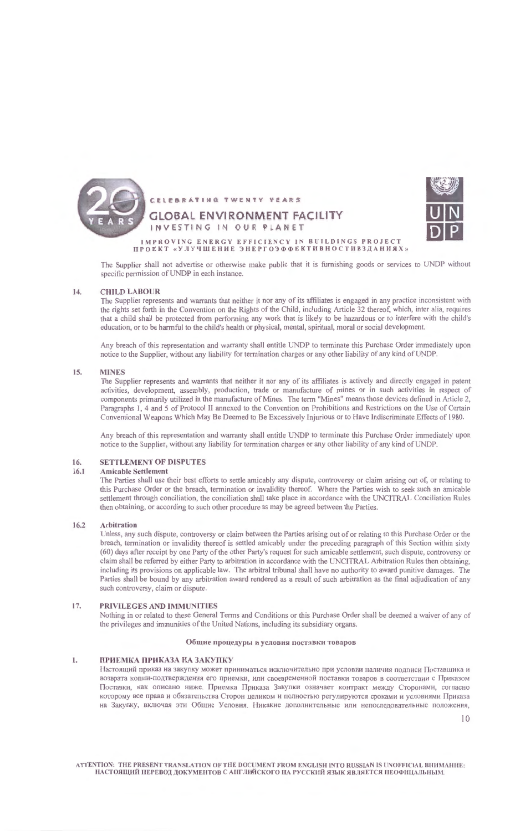



IMPROVING ENERGY EFFICIENCY IN BUILDINGS PROJECT<br>ПРОЕКТ «УЛУЧШЕНИЕ ЭНЕРГОЭФФЕКТИВНОСТИВЗДАНИЯХ»

The Supplier shall not advertise or otherwise make public that it is furnishing goods or services to UNDP without specific permission of UNDP in each instance.

### 14. CHILD LABOUR

The Supplier represents and warrants that neither it nor any of its affiliates is engaged in any practice inconsistent with the rights set forth in the Convention on the Rights of the Child, including Article 32 thereof, which, inter alia, requires that a child shalt be protected from performing any work that is likely to be hazardous or to interfere with the child's education, or to be harmful to the child's health or physical, mental, spiritual, moral or social development.

Any breach of this representation and warranty shall entitle UNDP to terminate this Purchase Order immediately upon notice to the Supplier, without any liability for termination charges or any other liability of any kind ofUNDP.

#### 15. MINES

The Supplier represents and warrants that neither it nor any of its affiliates is actively and directly engaged in patent activities, development, assembly, production, trade or manufacture of mines or in such activities in respect of components primarily utilized in the manufacture of Mines. The term "Mines" means those devices defined in Article 2, Paragraphs l, 4 and 5 of Protocol II annexed to the Convention on Prohibitions and Restrictions on the Use of Certain Conventional Weapons Which May Be Deemed to Be Excessively Injurious or to Have Indiscriminate Effects of 1980.

Any breach of this representation and warranty shall entitle UNDP to terminate this Purchase Order immediately upon notice to the Supplier, without any liability for termination charges or any other liability of any kind of UNDP.

### 16. SETTLEMENT OF DISPUTES

#### 16.1 Amicable Settlement

The Parties shall use their best efforts to settle amicably any dispute, controversy or claim arising out of, or relating to this Purchase Order or the breach, termination or invalidity thereof. Where the Parties wish to seek such an amicable settlement through conciliation, the conciliation shall take place in accordance with the UNClTRAL Conciliation Rules then obtaining, or according to such other procedure as may be agreed between the Parties.

#### 16.2 Arbitration

Unless, any such dispute, controversy or claim between the Parties arising out of or relating to this Purchase Order or the breach, termination or invalidity thereof is settled amicably under the preceding paragraph of this Section within sixty (60) days after receipt by one Party of the other Party's request for such amicable settlement, such dispute, controversy or claim shall be referred by either Party to arbitration in accordance with the UNClTRAL Arbitration Rules then obtaining, including its provisions on applicable law. The arbitral tribunal shall have no authority to award punitive damages. The Parties shall be bound by any arbitration award rendered as a result of such arbitration as the final adjudication of any such controversy, claim or dispute.

### 17. PRIVILEGES AND IMMUNITIES

Nothing in or related to these General Terms and Conditions or this Purchase Order shall be deemed a waiver of any of the privileges and immunities of the United Nations, including its subsidiary organs.

### Общие процедуры и условия поставки товаров

### 1. ПРИЕМКА ПРИКАЗА НА ЗАКУПКУ

Настоящий приказ на закупку может приниматься исключительно при условии наличия подписи Поставщика и возврата копии-подтверждения его приемки, или своевременной поставки товаров в соответствии с Приказом Поставки, как описано ниже. Приемка Приказа Закупки означает контракт между Сторонами, согласно которому все права и обязательства Сторон целиком и полностью регулируются сроками и условиями Приказа на Закупку, включая эти Общие Условия. Никакие дополнительные или непоследовательные положения,

10

ATTENTION: THE PRESENT TRANSLATION OF THE DOCUMENT FROM ENGLISH INTO RUSSIAN IS UNOFFICIAL BHUMAHIJE: НАСТОЯЩИЙ ПЕРЕВОД ДОКУМЕНТОВ С АНГЛИЙСКОГО НА РУССКИЙ ЯЗЫК ЯВЛЯЕТСЯ НЕОФИЦАЛЬНЫМ.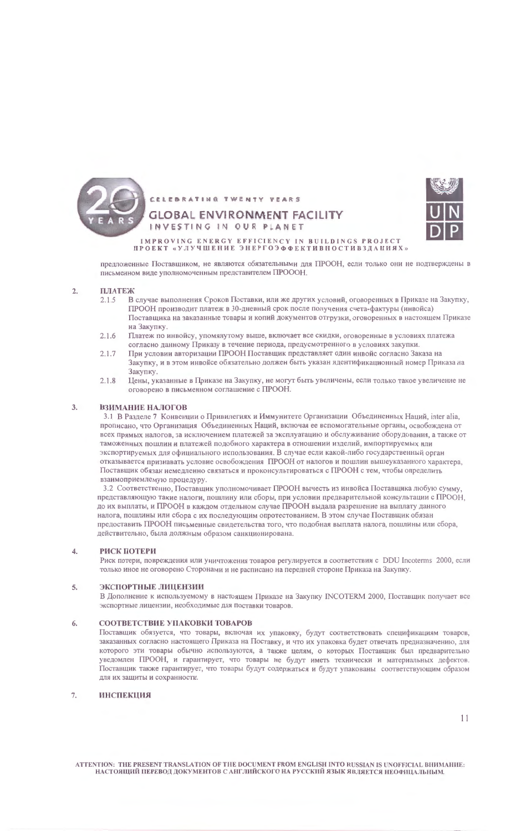



IMPROVING ENERGY EFFICIENCY IN BUILDINGS PROJECT<br>ПРОЕКТ «УЛУЧШЕНИЕ ЭНЕРГОЭФФЕКТИВНОСТИВЗДАНИЯХ»

предложенные Поставщиком, не являются обязательными для ПРООН, если только они не подтверждены в письменном виде уполномоченным представителем ПРОООН.

#### ПЛАТЕЖ  $2.$

- В случае выполнения Сроков Поставки, или же других условий, оговоренных в Приказе на Закупку,  $2.1.5$ ПРООН производит платеж в 30-дневный срок после получения счета-фактуры (инвойса) Поставщика на заказанные товары и копий документов отгрузки, оговоренных в настоящем Приказе на Закупку.
- Платеж по инвойсу, упомянутому выше, включает все скидки, оговоренные в условиях платежа  $2.1.6$ согласно данному Приказу в течение периода, предусмотренного в условиях закупки.
- При условии авторизации ПРООН Поставщик представляет один инвойс согласно Заказа на  $2.1.7$ Закупку, и в этом инвойсе обязательно должен быть указан идентификационный номер Приказа на Закупку.
- Цены, указанные в Приказе на Закупку, не могут быть увеличены, если только такое увеличение не  $2.1.8$ оговорено в письменном соглашение с ПРООН.

#### ВЗИМАНИЕ НАЛОГОВ  $3<sub>1</sub>$

3.1 В Разделе 7 Конвенции о Привилегиях и Иммунитете Организации Объединенных Наций, inter alia, прописано, что Организация Объединенных Наций, включая ее вспомогательные органы, освобождена от всех прямых налогов, за исключением платежей за эксплуатацию и обслуживание оборудования, а также от таможенных пошлин и платежей подобного характера в отношении изделий, импортируемых или экспортируемых для официального использования. В случае если какой-либо государственный орган отказывается признавать условие освобождения ПРООН от налогов и пошлин вышеуказанного характера, Поставщик обязан немедленно связаться и проконсультироваться с ПРООН с тем, чтобы определить взаимоприемлемую процедуру.

3.2 Соответственно, Поставщик уполномочивает ПРООН вычесть из инвойса Поставщика любую сумму, представляющую такие налоги, пошлину или сборы, при условии предварительной консультации с ПРООН, до их выплаты, и ПРООН в каждом отдельном случае ПРООН выдала разрешение на выплату данного налога, пошлины или сбора с их последующим опротестованием. В этом случае Поставщик обязан предоставить ПРООН письменные свидетельства того, что подобная выплата налога, пошлины или сбора, действительно, была должным образом санкционирована.

#### РИСК ПОТЕРИ 4.

Риск потери, повреждения или уничтожения товаров регулируется в соответствии с DDU Incoterms 2000, если только иное не оговорено Сторонами и не расписано на передней стороне Приказа на Закупку.

#### ЭКСПОРТНЫЕ ЛИЦЕНЗИИ 5.

В Дополнение к используемому в настоящем Приказе на Закупку INCOTERM 2000, Поставщик получает все экспортные лицензии, необходимые для поставки товаров.

#### СООТВЕТСТВИЕ УПАКОВКИ ТОВАРОВ 6.

Поставщик обязуется, что товары, включая их упаковку, будут соответствовать спецификациям товаров, заказанных согласно настоящего Приказа на Поставку, и что их упаковка будет отвечать предназначению, для которого эти товары обычно используются, а также целям, о которых Поставщик был предварительно уведомлен ПРООН, и гарантирует, что товары не будут иметь технически и материальных дефектов. Поставщик также гарантирует, что товары будут содержаться и будут упакованы соответствующим образом для их защиты и сохранности.

#### 7. **ИНСПЕКЦИЯ**

ATTENTION: THE PRESENT TRANSLATION OF THE DOCUMENT FROM ENGLISH INTO RUSSIAN IS UNOFFICIAL BHUMAHUE: НАСТОЯЩИЙ ПЕРЕВОД ДОКУМЕНТОВ С АНГЛИЙСКОГО НА РУССКИЙ ЯЗЫК ЯВЛЯЕТСЯ НЕОФИЦАЛЬНЫМ.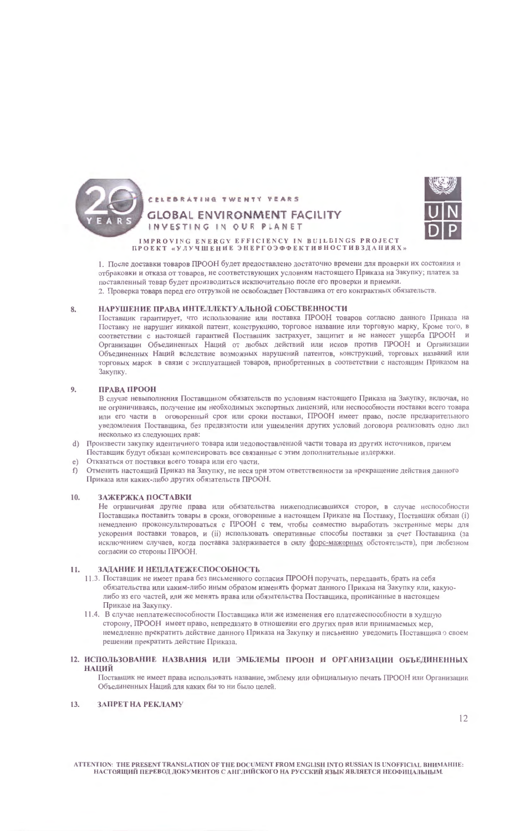

INVESTING IN OUR PLANET

**GLOBAL ENVIRONMENT FACILITY** 

IMPROVING ENERGY EFFICIENCY IN BUILDINGS PROJECT<br>
HPOEKT «УЛУЧШЕНИЕ ЭНЕРГОЭФФЕКТИВНОСТИВЗДАНИЯХ» 1. После доставки товаров ПРООН будет предоставлено достаточно времени для проверки их состояния и

отбраковки и отказа от товаров, не соответствующих условиям настоящего Приказа на Закупку; платеж за поставленный товар будет производиться исключительно после его проверки и приемки. 2. Проверка товара перед его отгрузкой не освобождает Поставщика от его контрактных обязательств.

#### НАРУШЕНИЕ ПРАВА ИНТЕЛЛЕКТУАЛЬНОЙ СОБСТВЕННОСТИ 8.

CELEBRATING TWENTY VEARS

Поставщик гарантирует, что использование или поставка ПРООН товаров согласно данного Приказа на Поставку не нарушит никакой патент, конструкцию, торговое название или торговую марку, Кроме того, в соответствии с настоящей гарантией Поставщик застрахует, защитит и не нанесет ущерба ПРООН и Организации Объединенных Наций от любых действий или исков против ПРООН и Организации Объединенных Наций вследствие возможных нарушений патентов, конструкций, торговых названий или торговых марок в связи с эксплуатацией товаров, приобретенных в соответствии с настоящим Приказом на Закупку.

#### ПРАВА ПРООН 9.

В случае невыполнения Поставщиком обязательств по условиям настоящего Приказа на Закупку, включая, но не ограничиваясь, получение им необходимых экспортных лицензий, или неспособности поставки всего товара или его части в оговоренный срок или сроки поставки, ПРООН имеет право, после предварительного уведомления Поставщика, без предвзятости или ущемления других условий договора реализовать одно лил несколько из следующих прав:

- d) Произвести закупку идентичного товара или недопоставленной части товара из других источников, причем
- Поставщик будут обязан компенсировать все связанные с этим дополнительные издержки.
- Отказаться от поставки всего товара или его части.
- Отменить настоящий Приказ на Закупку, не неся при этом ответственности за прекращение действия данного f) Приказа или каких-либо других обязательств ПРООН.

#### 10. ЗАЖЕРЖКА ПОСТАВКИ

Не ограничивая другие права или обязательства нижеподписавшихся сторон, в случае неспособности Поставщика поставить товары в сроки, оговоренные а настоящем Приказе на Поставку, Поставщик обязан (i) немедленно проконсультироваться с ПРООН с тем, чтобы совместно выработать экстренные меры для ускорения поставки товаров, и (ii) использовать оперативные способы поставки за счет Поставщика (за исключением случаев, когда поставка задерживается в силу форс-мажорных обстоятельств), при любезном согласии со стороны ПРООН.

#### ЗАДАНИЕ И НЕПЛАТЕЖЕСПОСОБНОСТЬ 11.

- 11.3. Поставщик не имеет права без письменного согласия ПРООН поручать, передавать, брать на себя обязательства или каким-либо иным образом изменять формат данного Приказа на Закупку или, какуюлибо из его частей, или же менять права или обязательства Поставщика, прописанные в настоящем Приказе на Закупку.
- 11.4. В случае неплатежеспособности Поставщика или же изменения его платежеспособности в худшую сторону, ПРООН имеет право, непредвзято в отношении его других прав или принимаемых мер, немедленно прекратить действие данного Приказа на Закупку и письменно уведомить Поставщика о своем решении прекратить действие Приказа.

### 12. ИСПОЛЬЗОВАНИЕ НАЗВАНИЯ ИЛИ ЭМБЛЕМЫ ПРООН И ОРГАНИЗАЦИИ ОБЪЕДИНЕННЫХ НАЦИЙ

Поставщик не имеет права использовать название, эмблему или официальную печать ПРООН или Организации Объединенных Наций для каких бы то ни было целей.

ЗАПРЕТ НА РЕКЛАМУ  $13.$ 

ATTENTION: THE PRESENT TRANSLATION OF THE DOCUMENT FROM ENGLISH INTO RUSSIAN IS UNOFFICIAL BHUMAHUE: НАСТОЯЩИЙ ПЕРЕВОД ДОКУМЕНТОВ С АНГЛИЙСКОГО НА РУССКИЙ ЯЗЫК ЯВЛЯЕТСЯ НЕОФИЦАЛЬНЫМ.